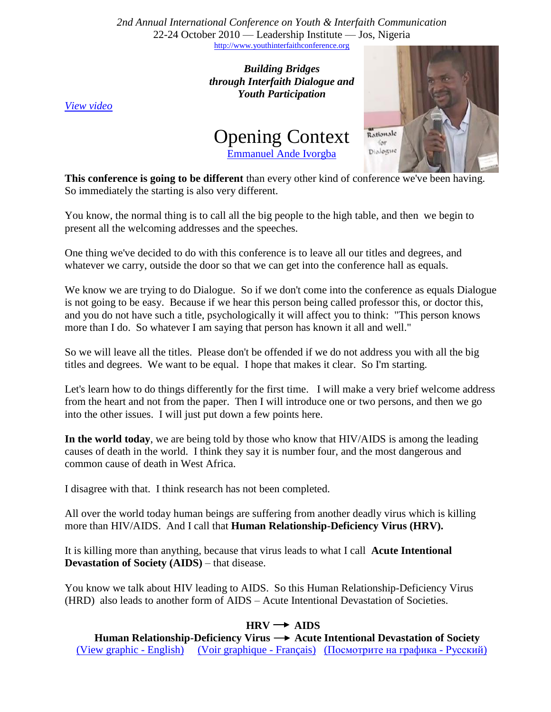*2nd Annual International Conference on Youth & Interfaith Communication* 22-24 October 2010 — Leadership Institute — Jos, Nigeria [http://www.youthinterfaithconference.org](http://www.youthinterfaithconference.org/)

> *Building Bridges through Interfaith Dialogue and Youth Participation*

*[View video](http://www.youtube.com/watch?v=i227NEdRkuQ)*





**This conference is going to be different** than every other kind of conference we've been having. So immediately the starting is also very different.

You know, the normal thing is to call all the big people to the high table, and then we begin to present all the welcoming addresses and the speeches.

One thing we've decided to do with this conference is to leave all our titles and degrees, and whatever we carry, outside the door so that we can get into the conference hall as equals.

We know we are trying to do Dialogue. So if we don't come into the conference as equals Dialogue is not going to be easy. Because if we hear this person being called professor this, or doctor this, and you do not have such a title, psychologically it will affect you to think: "This person knows more than I do. So whatever I am saying that person has known it all and well."

So we will leave all the titles. Please don't be offended if we do not address you with all the big titles and degrees. We want to be equal. I hope that makes it clear. So I'm starting.

Let's learn how to do things differently for the first time. I will make a very brief welcome address from the heart and not from the paper. Then I will introduce one or two persons, and then we go into the other issues. I will just put down a few points here.

**In the world today**, we are being told by those who know that HIV/AIDS is among the leading causes of death in the world. I think they say it is number four, and the most dangerous and common cause of death in West Africa.

I disagree with that. I think research has not been completed.

All over the world today human beings are suffering from another deadly virus which is killing more than HIV/AIDS. And I call that **Human Relationship-Deficiency Virus (HRV).**

It is killing more than anything, because that virus leads to what I call **Acute Intentional Devastation of Society (AIDS)** – that disease.

You know we talk about HIV leading to AIDS. So this Human Relationship-Deficiency Virus (HRD) also leads to another form of AIDS – Acute Intentional Devastation of Societies.

## $HRV \rightarrow AIDS$

Human Relationship-Deficiency Virus → Acute Intentional Devastation of Society (View graphic - [English\)](http://traubman.igc.org/nigeriahrv.pdf) [\(Voir graphique -](http://traubman.igc.org/nigeriahrvfrench.pdf) Français) [\(Посмотрите](http://traubman.igc.org/nigeriahrvrussian.pdf) на графика - Русский)